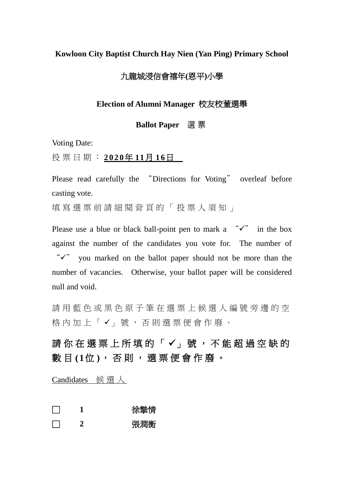#### **Kowloon City Baptist Church Hay Nien (Yan Ping) Primary School**

# 九龍城浸信會禧年**(**恩平**)**小學

#### **Election of Alumni Manager** 校友校董選舉

#### **Ballot Paper** 選 票

Voting Date:

投 票 日 期 : **2020年 11月 16日** 

Please read carefully the "Directions for Voting" overleaf before casting vote.

填寫選票前請細閱背頁的「投票人須知」

Please use a blue or black ball-point pen to mark a  $\sqrt{x}$  in the box against the number of the candidates you vote for. The number of " $\checkmark$ " you marked on the ballot paper should not be more than the number of vacancies. Otherwise, your ballot paper will be considered null and void.

請用藍色或黑色原子筆在選票上候選人編號旁邊的空 格內加上「√」號, 否則選票便會作廢。

請你 在 選 票 上 所 填 的 「 ✓ 」號 , 不 能 超 過 空 缺 的 數 目 **(1**位 **)**, 否 則 , 選 票 便 會 作 廢 。

Candidates 候選人

- □ **1** 徐摯情
- □ **2** 張潤衡